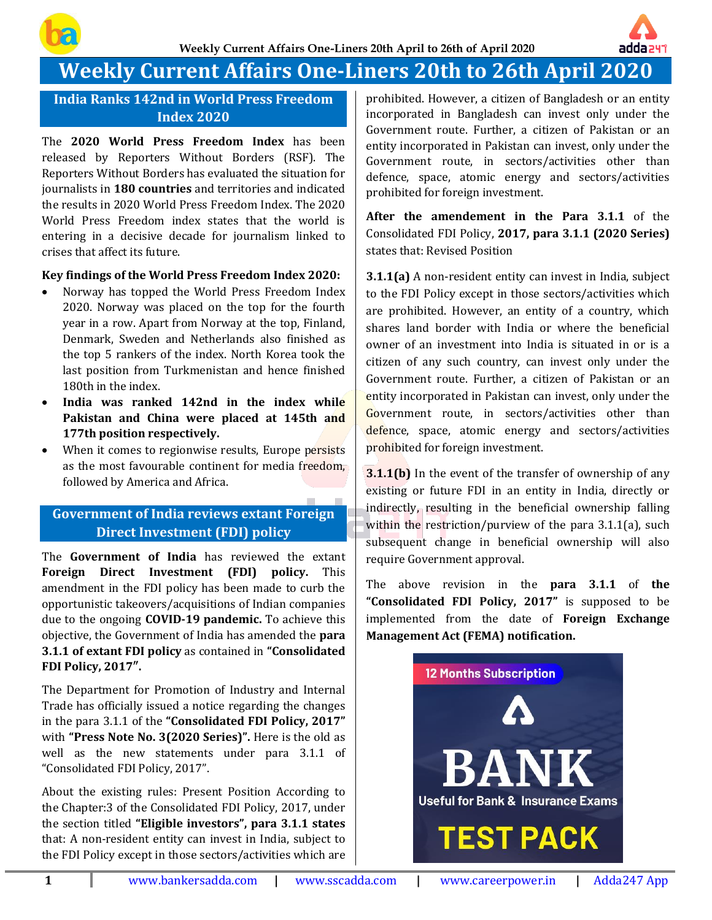

# **Weekly Current Affairs One-Liners 20th to 26th April 2020**

**India Ranks 142nd in World Press Freedom Index 2020**

The **2020 World Press Freedom Index** has been released by Reporters Without Borders (RSF). The Reporters Without Borders has evaluated the situation for journalists in **180 countries** and territories and indicated the results in 2020 World Press Freedom Index. The 2020 World Press Freedom index states that the world is entering in a decisive decade for journalism linked to crises that affect its future.

#### **Key findings of the World Press Freedom Index 2020:**

- Norway has topped the World Press Freedom Index 2020. Norway was placed on the top for the fourth year in a row. Apart from Norway at the top, Finland, Denmark, Sweden and Netherlands also finished as the top 5 rankers of the index. North Korea took the last position from Turkmenistan and hence finished 180th in the index.
- **India was ranked 142nd in the index while Pakistan and China were placed at 145th and 177th position respectively.**
- When it comes to regionwise results, Europe persists as the most favourable continent for media freedom, followed by America and Africa.

# **Government of India reviews extant Foreign Direct Investment (FDI) policy**

The **Government of India** has reviewed the extant **Foreign Direct Investment (FDI) policy.** This amendment in the FDI policy has been made to curb the opportunistic takeovers/acquisitions of Indian companies due to the ongoing **COVID-19 pandemic.** To achieve this objective, the Government of India has amended the **para 3.1.1 of extant FDI policy** as contained in **"Consolidated FDI Policy, 2017″.**

The Department for Promotion of Industry and Internal Trade has officially issued a notice regarding the changes in the para 3.1.1 of the **"Consolidated FDI Policy, 2017"** with **"Press Note No. 3(2020 Series)".** Here is the old as well as the new statements under para 3.1.1 of "Consolidated FDI Policy, 2017".

About the existing rules: Present Position According to the Chapter:3 of the Consolidated FDI Policy, 2017, under the section titled **"Eligible investors", para 3.1.1 states** that: A non-resident entity can invest in India, subject to the FDI Policy except in those sectors/activities which are

prohibited. However, a citizen of Bangladesh or an entity incorporated in Bangladesh can invest only under the Government route. Further, a citizen of Pakistan or an entity incorporated in Pakistan can invest, only under the Government route, in sectors/activities other than defence, space, atomic energy and sectors/activities prohibited for foreign investment.

adda241

**After the amendement in the Para 3.1.1** of the Consolidated FDI Policy, **2017, para 3.1.1 (2020 Series)** states that: Revised Position

**3.1.1(a)** A non-resident entity can invest in India, subject to the FDI Policy except in those sectors/activities which are prohibited. However, an entity of a country, which shares land border with India or where the beneficial owner of an investment into India is situated in or is a citizen of any such country, can invest only under the Government route. Further, a citizen of Pakistan or an entity incorporated in Pakistan can invest, only under the Government route, in sectors/activities other than defence, space, atomic energy and sectors/activities prohibited for foreign investment.

**3.1.1(b)** In the event of the transfer of ownership of any existing or future FDI in an entity in India, directly or indirectly, resulting in the beneficial ownership falling within the restriction/purview of the para 3.1.1(a), such subsequent change in beneficial ownership will also require Government approval.

The above revision in the **para 3.1.1** of **the "Consolidated FDI Policy, 2017"** is supposed to be implemented from the date of **Foreign Exchange Management Act (FEMA) notification.**

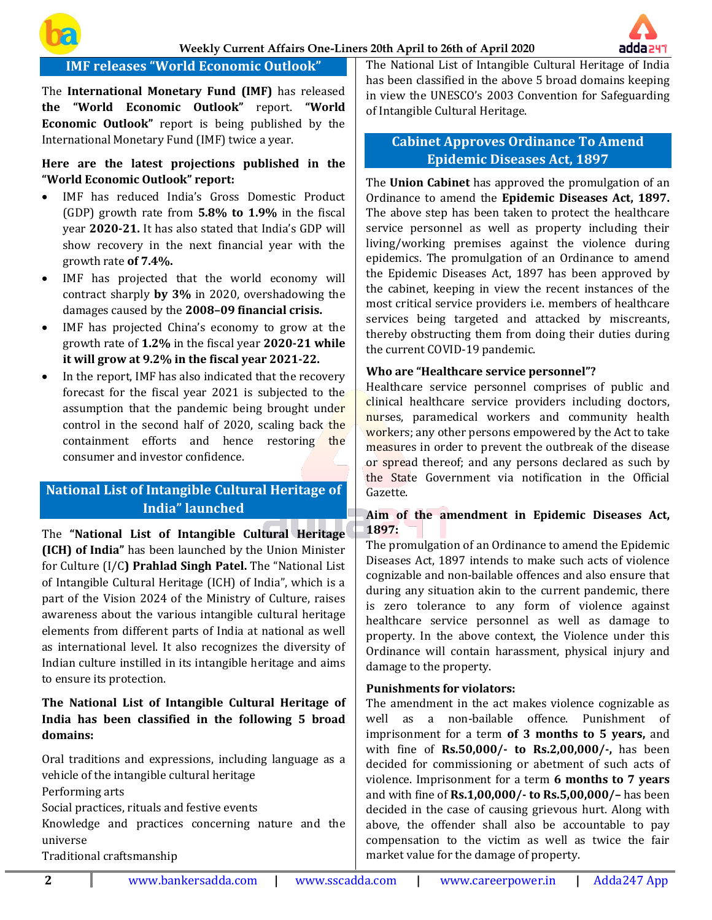



# **IMF releases "World Economic Outlook"**

The **International Monetary Fund (IMF)** has released **the "World Economic Outlook"** report. **"World Economic Outlook"** report is being published by the International Monetary Fund (IMF) twice a year.

#### **Here are the latest projections published in the "World Economic Outlook" report:**

- IMF has reduced India's Gross Domestic Product (GDP) growth rate from **5.8% to 1.9%** in the fiscal year **2020-21.** It has also stated that India's GDP will show recovery in the next financial year with the growth rate **of 7.4%.**
- IMF has projected that the world economy will contract sharply **by 3%** in 2020, overshadowing the damages caused by the **2008–09 financial crisis.**
- IMF has projected China's economy to grow at the growth rate of **1.2%** in the fiscal year **2020-21 while it will grow at 9.2% in the fiscal year 2021-22.**
- In the report, IMF has also indicated that the recovery forecast for the fiscal year 2021 is subjected to the assumption that the pandemic being brought under control in the second half of 2020, scaling back the containment efforts and hence restoring the consumer and investor confidence.

# **National List of Intangible Cultural Heritage of India" launched**

The **"National List of Intangible Cultural Heritage (ICH) of India"** has been launched by the Union Minister for Culture (I/C**) Prahlad Singh Patel.** The "National List of Intangible Cultural Heritage (ICH) of India", which is a part of the Vision 2024 of the Ministry of Culture, raises awareness about the various intangible cultural heritage elements from different parts of India at national as well as international level. It also recognizes the diversity of Indian culture instilled in its intangible heritage and aims to ensure its protection.

## **The National List of Intangible Cultural Heritage of India has been classified in the following 5 broad domains:**

Oral traditions and expressions, including language as a vehicle of the intangible cultural heritage Performing arts Social practices, rituals and festive events Knowledge and practices concerning nature and the

universe

Traditional craftsmanship

The National List of Intangible Cultural Heritage of India has been classified in the above 5 broad domains keeping in view the UNESCO's 2003 Convention for Safeguarding of Intangible Cultural Heritage.

# **Cabinet Approves Ordinance To Amend Epidemic Diseases Act, 1897**

The **Union Cabinet** has approved the promulgation of an Ordinance to amend the **Epidemic Diseases Act, 1897.** The above step has been taken to protect the healthcare service personnel as well as property including their living/working premises against the violence during epidemics. The promulgation of an Ordinance to amend the Epidemic Diseases Act, 1897 has been approved by the cabinet, keeping in view the recent instances of the most critical service providers i.e. members of healthcare services being targeted and attacked by miscreants, thereby obstructing them from doing their duties during the current COVID-19 pandemic.

#### **Who are "Healthcare service personnel"?**

Healthcare service personnel comprises of public and clinical healthcare service providers including doctors, nurses, paramedical workers and community health workers; any other persons empowered by the Act to take measures in order to prevent the outbreak of the disease or spread thereof; and any persons declared as such by the State Government via notification in the Official Gazette.

#### **Aim of the amendment in Epidemic Diseases Act, 1897:**

The promulgation of an Ordinance to amend the Epidemic Diseases Act, 1897 intends to make such acts of violence cognizable and non-bailable offences and also ensure that during any situation akin to the current pandemic, there is zero tolerance to any form of violence against healthcare service personnel as well as damage to property. In the above context, the Violence under this Ordinance will contain harassment, physical injury and damage to the property.

#### **Punishments for violators:**

The amendment in the act makes violence cognizable as well as a non-bailable offence. Punishment of imprisonment for a term **of 3 months to 5 years,** and with fine of **Rs.50,000/- to Rs.2,00,000/-,** has been decided for commissioning or abetment of such acts of violence. Imprisonment for a term **6 months to 7 years** and with fine of **Rs.1,00,000/- to Rs.5,00,000/–** has been decided in the case of causing grievous hurt. Along with above, the offender shall also be accountable to pay compensation to the victim as well as twice the fair market value for the damage of property.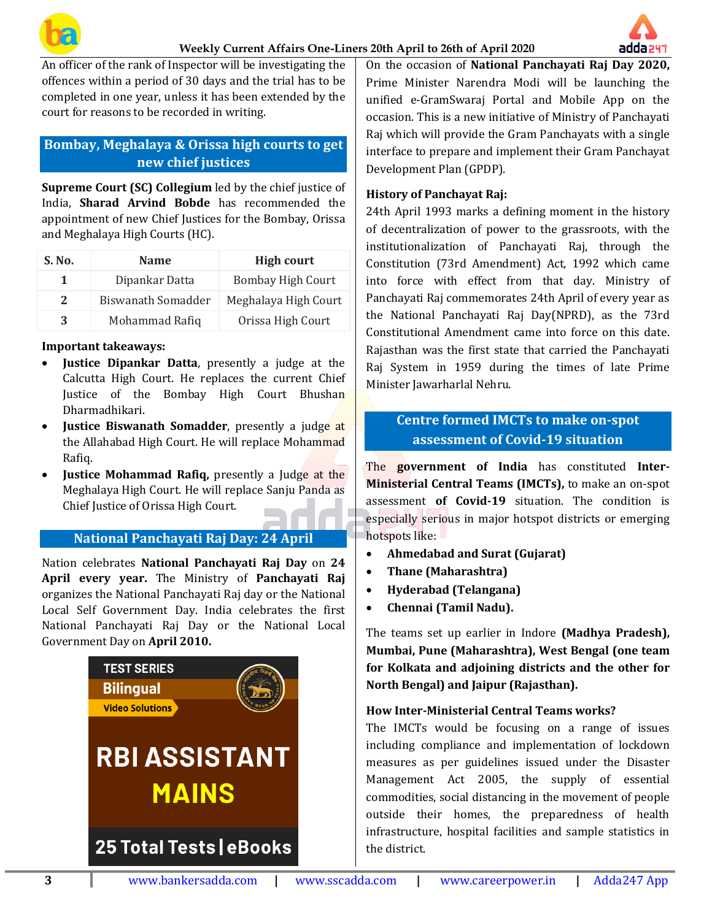



An officer of the rank of Inspector will be investigating the offences within a period of 30 days and the trial has to be completed in one year, unless it has been extended by the court for reasons to be recorded in writing.

# **Bombay, Meghalaya & Orissa high courts to get new chief justices**

**Supreme Court (SC) Collegium** led by the chief justice of India, **Sharad Arvind Bobde** has recommended the appointment of new Chief Justices for the Bombay, Orissa and Meghalaya High Courts (HC).

| S. No. | <b>Name</b>        | <b>High court</b>        |
|--------|--------------------|--------------------------|
| 1      | Dipankar Datta     | <b>Bombay High Court</b> |
| 2      | Biswanath Somadder | Meghalaya High Court     |
| 3      | Mohammad Rafiq     | Orissa High Court        |

#### **Important takeaways:**

- **Justice Dipankar Datta**, presently a judge at the Calcutta High Court. He replaces the current Chief Justice of the Bombay High Court Bhushan Dharmadhikari.
- **Justice Biswanath Somadder**, presently a judge at the Allahabad High Court. He will replace Mohammad Rafiq.
- **Justice Mohammad Rafiq,** presently a Judge at the Meghalaya High Court. He will replace Sanju Panda as Chief Justice of Orissa High Court.

# **National Panchayati Raj Day: 24 April**

Nation celebrates **National Panchayati Raj Day** on **24 April every year.** The Ministry of **Panchayati Raj** organizes the National Panchayati Raj day or the National Local Self Government Day. India celebrates the first National Panchayati Raj Day or the National Local Government Day on **April 2010.**



On the occasion of **National Panchayati Raj Day 2020,** Prime Minister Narendra Modi will be launching the unified e-GramSwaraj Portal and Mobile App on the occasion. This is a new initiative of Ministry of Panchayati Raj which will provide the Gram Panchayats with a single interface to prepare and implement their Gram Panchayat Development Plan (GPDP).

#### **History of Panchayat Raj:**

24th April 1993 marks a defining moment in the history of decentralization of power to the grassroots, with the institutionalization of Panchayati Raj, through the Constitution (73rd Amendment) Act, 1992 which came into force with effect from that day. Ministry of Panchayati Raj commemorates 24th April of every year as the National Panchayati Raj Day(NPRD), as the 73rd Constitutional Amendment came into force on this date. Rajasthan was the first state that carried the Panchayati Raj System in 1959 during the times of late Prime Minister Jawarharlal Nehru.

# **Centre formed IMCTs to make on-spot assessment of Covid-19 situation**

The **government of India** has constituted **Inter-Ministerial Central Teams (IMCTs),** to make an on-spot assessment **of Covid-19** situation. The condition is especially serious in major hotspot districts or emerging hotspots like:

- **Ahmedabad and Surat (Gujarat)**
- **Thane (Maharashtra)**
- **Hyderabad (Telangana)**
- **Chennai (Tamil Nadu).**

The teams set up earlier in Indore **(Madhya Pradesh), Mumbai, Pune (Maharashtra), West Bengal (one team for Kolkata and adjoining districts and the other for North Bengal) and Jaipur (Rajasthan).**

#### **How Inter-Ministerial Central Teams works?**

The IMCTs would be focusing on a range of issues including compliance and implementation of lockdown measures as per guidelines issued under the Disaster Management Act 2005, the supply of essential commodities, social distancing in the movement of people outside their homes, the preparedness of health infrastructure, hospital facilities and sample statistics in the district.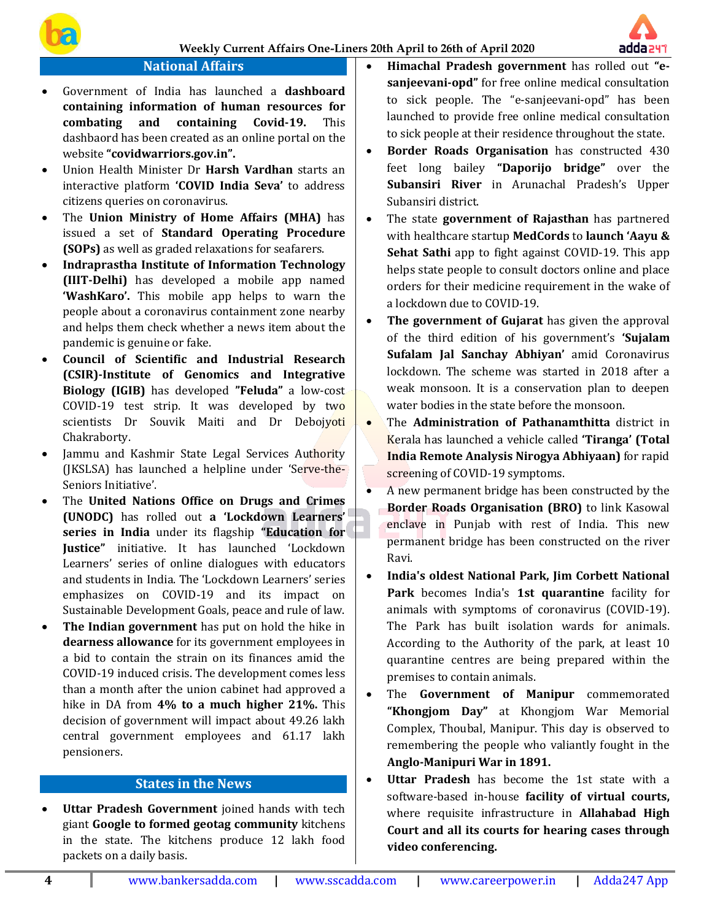# **National Affairs**

- Government of India has launched a **dashboard containing information of human resources for combating and containing Covid-19.** This dashbaord has been created as an online portal on the website **"covidwarriors.gov.in".**
- Union Health Minister Dr **Harsh Vardhan** starts an interactive platform **'COVID India Seva'** to address citizens queries on coronavirus.
- The **Union Ministry of Home Affairs (MHA)** has issued a set of **Standard Operating Procedure (SOPs)** as well as graded relaxations for seafarers.
- **Indraprastha Institute of Information Technology (IIIT-Delhi)** has developed a mobile app named **'WashKaro'.** This mobile app helps to warn the people about a coronavirus containment zone nearby and helps them check whether a news item about the pandemic is genuine or fake.
- **Council of Scientific and Industrial Research (CSIR)-Institute of Genomics and Integrative Biology (IGIB)** has developed **"Feluda"** a low-cost COVID-19 test strip. It was developed by two scientists Dr Souvik Maiti and Dr Debojyoti Chakraborty.
- Jammu and Kashmir State Legal Services Authority (JKSLSA) has launched a helpline under 'Serve-the-Seniors Initiative'.
- The **United Nations Office on Drugs and Crimes (UNODC)** has rolled out **a 'Lockdown Learners' series in India** under its flagship **"Education for Justice"** initiative. It has launched 'Lockdown Learners' series of online dialogues with educators and students in India. The 'Lockdown Learners' series emphasizes on COVID-19 and its impact on Sustainable Development Goals, peace and rule of law.
- **The Indian government** has put on hold the hike in **dearness allowance** for its government employees in a bid to contain the strain on its finances amid the COVID-19 induced crisis. The development comes less than a month after the union cabinet had approved a hike in DA from **4% to a much higher 21%.** This decision of government will impact about 49.26 lakh central government employees and 61.17 lakh pensioners.

## **States in the News**

• **Uttar Pradesh Government** joined hands with tech giant **Google to formed geotag community** kitchens in the state. The kitchens produce 12 lakh food packets on a daily basis.

• **Himachal Pradesh government** has rolled out **"esanjeevani-opd"** for free online medical consultation to sick people. The "e-sanjeevani-opd" has been launched to provide free online medical consultation to sick people at their residence throughout the state.

adda 241

- **Border Roads Organisation** has constructed 430 feet long bailey **"Daporijo bridge"** over the **Subansiri River** in Arunachal Pradesh's Upper Subansiri district.
- The state **government of Rajasthan** has partnered with healthcare startup **MedCords** to **launch 'Aayu & Sehat Sathi** app to fight against COVID-19. This app helps state people to consult doctors online and place orders for their medicine requirement in the wake of a lockdown due to COVID-19.
- **The government of Gujarat** has given the approval of the third edition of his government's **'Sujalam Sufalam Jal Sanchay Abhiyan'** amid Coronavirus lockdown. The scheme was started in 2018 after a weak monsoon. It is a conservation plan to deepen water bodies in the state before the monsoon.
- The **Administration of Pathanamthitta** district in Kerala has launched a vehicle called **'Tiranga' (Total India Remote Analysis Nirogya Abhiyaan)** for rapid screening of COVID-19 symptoms.
- A new permanent bridge has been constructed by the **Border Roads Organisation (BRO)** to link Kasowal enclave in Punjab with rest of India. This new permanent bridge has been constructed on the river Ravi.
- **India's oldest National Park, Jim Corbett National Park** becomes India's **1st quarantine** facility for animals with symptoms of coronavirus (COVID-19). The Park has built isolation wards for animals. According to the Authority of the park, at least 10 quarantine centres are being prepared within the premises to contain animals.
- The **Government of Manipur** commemorated **"Khongjom Day"** at Khongjom War Memorial Complex, Thoubal, Manipur. This day is observed to remembering the people who valiantly fought in the **Anglo-Manipuri War in 1891.**
- **Uttar Pradesh** has become the 1st state with a software-based in-house **facility of virtual courts,** where requisite infrastructure in **Allahabad High Court and all its courts for hearing cases through video conferencing.**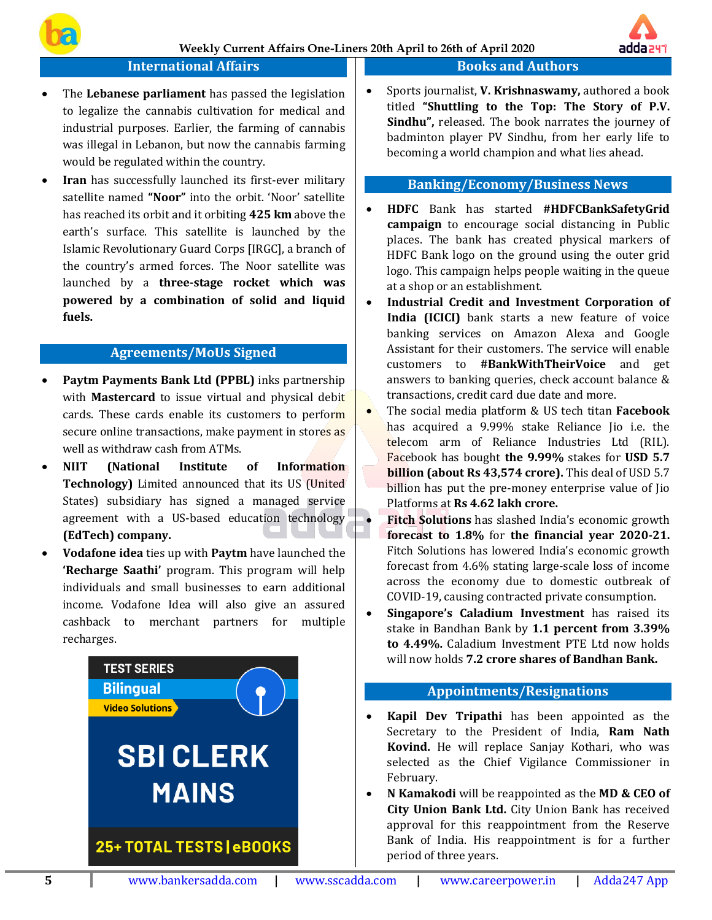

### **International Affairs**

- The **Lebanese parliament** has passed the legislation to legalize the cannabis cultivation for medical and industrial purposes. Earlier, the farming of cannabis was illegal in Lebanon, but now the cannabis farming would be regulated within the country.
- **Iran** has successfully launched its first-ever military satellite named **"Noor"** into the orbit. 'Noor' satellite has reached its orbit and it orbiting **425 km** above the earth's surface. This satellite is launched by the Islamic Revolutionary Guard Corps [IRGC], a branch of the country's armed forces. The Noor satellite was launched by a **three-stage rocket which was powered by a combination of solid and liquid fuels.**

### **Agreements/MoUs Signed**

- **Paytm Payments Bank Ltd (PPBL)** inks partnership with **Mastercard** to issue virtual and physical debit cards. These cards enable its customers to perform secure online transactions, make payment in stores as well as withdraw cash from ATMs.
- **NIIT (National Institute of Information Technology)** Limited announced that its US (United States) subsidiary has signed a managed service agreement with a US-based education technology **(EdTech) company.**
- **Vodafone idea** ties up with **Paytm** have launched the **'Recharge Saathi'** program. This program will help individuals and small businesses to earn additional income. Vodafone Idea will also give an assured cashback to merchant partners for multiple recharges.



# **Books and Authors**

• Sports journalist, **V. Krishnaswamy,** authored a book titled **"Shuttling to the Top: The Story of P.V. Sindhu",** released. The book narrates the journey of badminton player PV Sindhu, from her early life to becoming a world champion and what lies ahead.

### **Banking/Economy/Business News**

- **HDFC** Bank has started **#HDFCBankSafetyGrid campaign** to encourage social distancing in Public places. The bank has created physical markers of HDFC Bank logo on the ground using the outer grid logo. This campaign helps people waiting in the queue at a shop or an establishment.
- **Industrial Credit and Investment Corporation of India (ICICI)** bank starts a new feature of voice banking services on Amazon Alexa and Google Assistant for their customers. The service will enable customers to **#BankWithTheirVoice** and get answers to banking queries, check account balance & transactions, credit card due date and more.
- The social media platform & US tech titan **Facebook** has acquired a 9.99% stake Reliance Jio i.e. the telecom arm of Reliance Industries Ltd (RIL). Facebook has bought **the 9.99%** stakes for **USD 5.7 billion (about Rs 43,574 crore).** This deal of USD 5.7 billion has put the pre-money enterprise value of Jio Platforms at **Rs 4.62 lakh crore.**
- **Fitch Solutions** has slashed India's economic growth **forecast to 1.8%** for **the financial year 2020-21.** Fitch Solutions has lowered India's economic growth forecast from 4.6% stating large-scale loss of income across the economy due to domestic outbreak of COVID-19, causing contracted private consumption.
- **Singapore's Caladium Investment** has raised its stake in Bandhan Bank by **1.1 percent from 3.39% to 4.49%.** Caladium Investment PTE Ltd now holds will now holds **7.2 crore shares of Bandhan Bank.**

#### **Appointments/Resignations**

- **Kapil Dev Tripathi** has been appointed as the Secretary to the President of India, **Ram Nath Kovind.** He will replace Sanjay Kothari, who was selected as the Chief Vigilance Commissioner in February.
- **N Kamakodi** will be reappointed as the **MD & CEO of City Union Bank Ltd.** City Union Bank has received approval for this reappointment from the Reserve Bank of India. His reappointment is for a further period of three years.

adda 247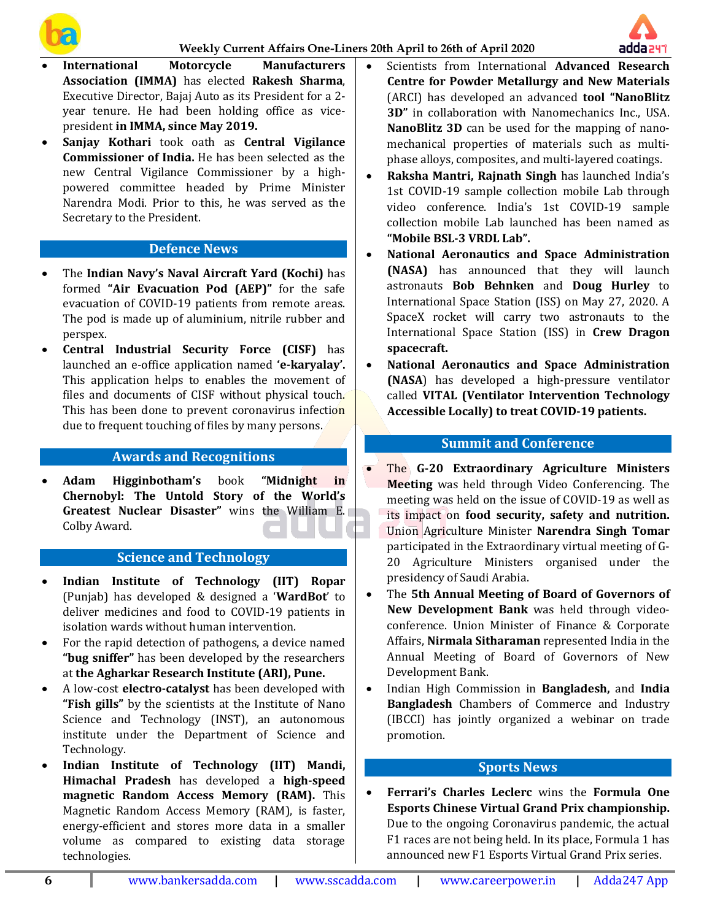



- **International Motorcycle Manufacturers Association (IMMA)** has elected **Rakesh Sharma**, Executive Director, Bajaj Auto as its President for a 2 year tenure. He had been holding office as vicepresident **in IMMA, since May 2019.**
- **Sanjay Kothari** took oath as **Central Vigilance Commissioner of India.** He has been selected as the new Central Vigilance Commissioner by a highpowered committee headed by Prime Minister Narendra Modi. Prior to this, he was served as the Secretary to the President.

### **Defence News**

- The **Indian Navy's Naval Aircraft Yard (Kochi)** has formed **"Air Evacuation Pod (AEP)"** for the safe evacuation of COVID-19 patients from remote areas. The pod is made up of aluminium, nitrile rubber and perspex.
- **Central Industrial Security Force (CISF)** has launched an e-office application named **'e-karyalay'.** This application helps to enables the movement of files and documents of CISF without physical touch. This has been done to prevent coronavirus infection due to frequent touching of files by many persons.

## **Awards and Recognitions**

• **Adam Higginbotham's** book **"Midnight in Chernobyl: The Untold Story of the World's Greatest Nuclear Disaster"** wins the William E. Colby Award.

#### **Science and Technology**

- **Indian Institute of Technology (IIT) Ropar** (Punjab) has developed & designed a '**WardBot**' to deliver medicines and food to COVID-19 patients in isolation wards without human intervention.
- For the rapid detection of pathogens, a device named **"bug sniffer"** has been developed by the researchers at **the Agharkar Research Institute (ARI), Pune.**
- A low-cost **electro-catalyst** has been developed with **"Fish gills"** by the scientists at the Institute of Nano Science and Technology (INST), an autonomous institute under the Department of Science and Technology.
- **Indian Institute of Technology (IIT) Mandi, Himachal Pradesh** has developed a **high-speed magnetic Random Access Memory (RAM).** This Magnetic Random Access Memory (RAM), is faster, energy-efficient and stores more data in a smaller volume as compared to existing data storage technologies.
- Scientists from International **Advanced Research Centre for Powder Metallurgy and New Materials** (ARCI) has developed an advanced **tool "NanoBlitz 3D"** in collaboration with Nanomechanics Inc., USA. **NanoBlitz 3D** can be used for the mapping of nanomechanical properties of materials such as multiphase alloys, composites, and multi-layered coatings.
- **Raksha Mantri, Rajnath Singh** has launched India's 1st COVID-19 sample collection mobile Lab through video conference. India's 1st COVID-19 sample collection mobile Lab launched has been named as **"Mobile BSL-3 VRDL Lab".**
- **National Aeronautics and Space Administration (NASA)** has announced that they will launch astronauts **Bob Behnken** and **Doug Hurley** to International Space Station (ISS) on May 27, 2020. A SpaceX rocket will carry two astronauts to the International Space Station (ISS) in **Crew Dragon spacecraft.**
- **National Aeronautics and Space Administration (NASA**) has developed a high-pressure ventilator called **VITAL (Ventilator Intervention Technology Accessible Locally) to treat COVID-19 patients.**

## **Summit and Conference**

- The **G-20 Extraordinary Agriculture Ministers Meeting** was held through Video Conferencing. The meeting was held on the issue of COVID-19 as well as its impact on **food security, safety and nutrition.** Union Agriculture Minister **Narendra Singh Tomar** participated in the Extraordinary virtual meeting of G-20 Agriculture Ministers organised under the presidency of Saudi Arabia.
- The **5th Annual Meeting of Board of Governors of New Development Bank** was held through videoconference. Union Minister of Finance & Corporate Affairs, **Nirmala Sitharaman** represented India in the Annual Meeting of Board of Governors of New Development Bank.
- Indian High Commission in **Bangladesh,** and **India Bangladesh** Chambers of Commerce and Industry (IBCCI) has jointly organized a webinar on trade promotion.

# **Sports News**

• **Ferrari's Charles Leclerc** wins the **Formula One Esports Chinese Virtual Grand Prix championship.** Due to the ongoing Coronavirus pandemic, the actual F1 races are not being held. In its place, Formula 1 has announced new F1 Esports Virtual Grand Prix series.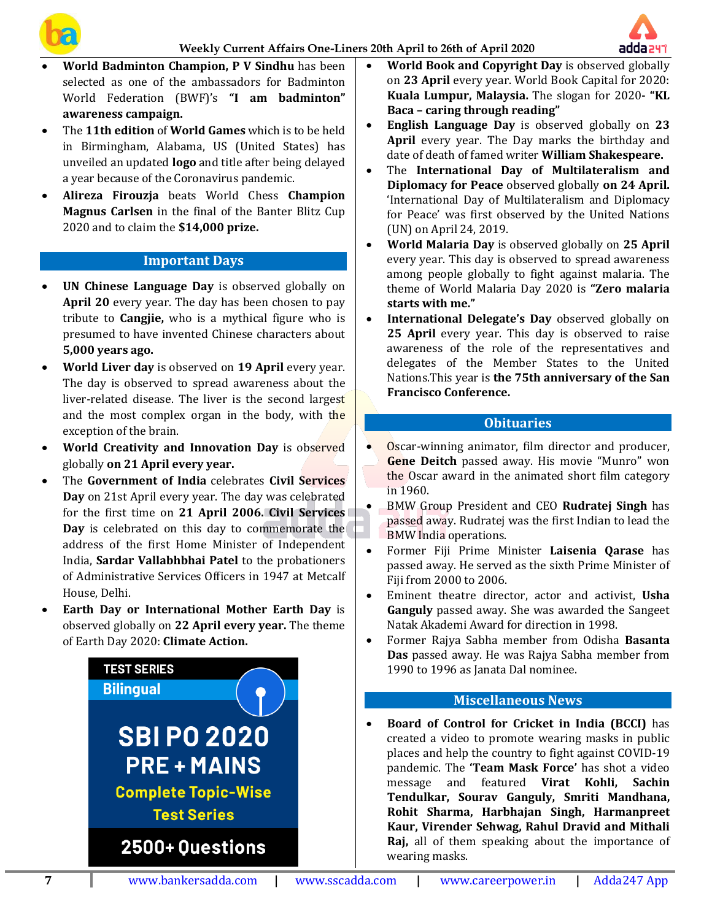



- **World Badminton Champion, P V Sindhu** has been selected as one of the ambassadors for Badminton World Federation (BWF)'s **"I am badminton" awareness campaign.**
- The **11th edition** of **World Games** which is to be held in Birmingham, Alabama, US (United States) has unveiled an updated **logo** and title after being delayed a year because of the Coronavirus pandemic.
- **Alireza Firouzja** beats World Chess **Champion Magnus Carlsen** in the final of the Banter Blitz Cup 2020 and to claim the **\$14,000 prize.**

# **Important Days**

- **UN Chinese Language Day** is observed globally on **April 20** every year. The day has been chosen to pay tribute to **Cangjie,** who is a mythical figure who is presumed to have invented Chinese characters about **5,000 years ago.**
- **World Liver day** is observed on **19 April** every year. The day is observed to spread awareness about the liver-related disease. The liver is the second largest and the most complex organ in the body, with the exception of the brain.
- **World Creativity and Innovation Day** is observed globally **on 21 April every year.**
- The **Government of India** celebrates **Civil Services Day** on 21st April every year. The day was celebrated for the first time on **21 April 2006. Civil Services Day** is celebrated on this day to commemorate the address of the first Home Minister of Independent India, **Sardar Vallabhbhai Patel** to the probationers of Administrative Services Officers in 1947 at Metcalf House, Delhi.
- **Earth Day or International Mother Earth Day** is observed globally on **22 April every year.** The theme of Earth Day 2020: **Climate Action.**



- **World Book and Copyright Day** is observed globally on **23 April** every year. World Book Capital for 2020: **Kuala Lumpur, Malaysia.** The slogan for 2020**- "KL Baca – caring through reading"**
- **English Language Day** is observed globally on **23 April** every year. The Day marks the birthday and date of death of famed writer **William Shakespeare.**
- The **International Day of Multilateralism and Diplomacy for Peace** observed globally **on 24 April.** 'International Day of Multilateralism and Diplomacy for Peace' was first observed by the United Nations (UN) on April 24, 2019.
- **World Malaria Day** is observed globally on **25 April** every year. This day is observed to spread awareness among people globally to fight against malaria. The theme of World Malaria Day 2020 is **"Zero malaria starts with me."**
- **International Delegate's Day** observed globally on **25 April** every year. This day is observed to raise awareness of the role of the representatives and delegates of the Member States to the United Nations.This year is **the 75th anniversary of the San Francisco Conference.**

### **Obituaries**

- Oscar-winning animator, film director and producer, **Gene Deitch** passed away. His movie "Munro" won the Oscar award in the animated short film category in 1960.
- BMW Group President and CEO **Rudratej Singh** has passed away. Rudratej was the first Indian to lead the BMW India operations.
- Former Fiji Prime Minister **Laisenia Qarase** has passed away. He served as the sixth Prime Minister of Fiji from 2000 to 2006.
- Eminent theatre director, actor and activist, **Usha Ganguly** passed away. She was awarded the Sangeet Natak Akademi Award for direction in 1998.
- Former Rajya Sabha member from Odisha **Basanta Das** passed away. He was Rajya Sabha member from 1990 to 1996 as Janata Dal nominee.

## **Miscellaneous News**

• **Board of Control for Cricket in India (BCCI)** has created a video to promote wearing masks in public places and help the country to fight against COVID-19 pandemic. The **'Team Mask Force'** has shot a video message and featured **Virat Kohli, Sachin Tendulkar, Sourav Ganguly, Smriti Mandhana, Rohit Sharma, Harbhajan Singh, Harmanpreet Kaur, Virender Sehwag, Rahul Dravid and Mithali Raj,** all of them speaking about the importance of wearing masks.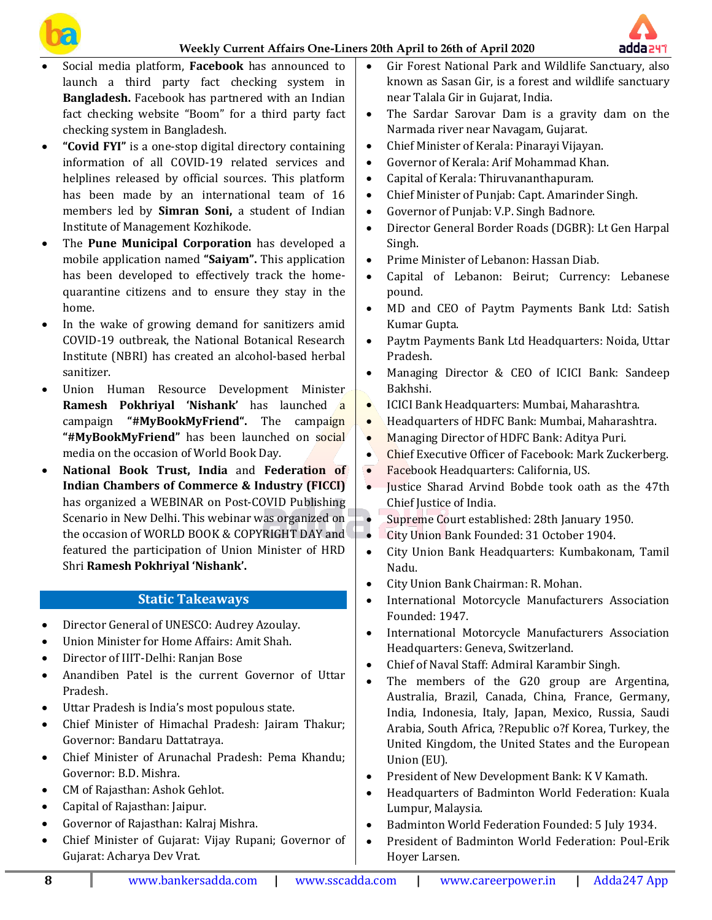





- Social media platform, **Facebook** has announced to launch a third party fact checking system in **Bangladesh.** Facebook has partnered with an Indian fact checking website "Boom" for a third party fact checking system in Bangladesh.
- **"Covid FYI"** is a one-stop digital directory containing information of all COVID-19 related services and helplines released by official sources. This platform has been made by an international team of 16 members led by **Simran Soni,** a student of Indian Institute of Management Kozhikode.
- The **Pune Municipal Corporation** has developed a mobile application named **"Saiyam".** This application has been developed to effectively track the homequarantine citizens and to ensure they stay in the home.
- In the wake of growing demand for sanitizers amid COVID-19 outbreak, the National Botanical Research Institute (NBRI) has created an alcohol-based herbal sanitizer.
- Union Human Resource Development Minister **Ramesh Pokhriyal 'Nishank'** has launched a campaign **"#MyBookMyFriend".** The campaign "#MyBookMyFriend" has been launched on social media on the occasion of World Book Day.
- **National Book Trust, India** and **Federation of Indian Chambers of Commerce & Industry (FICCI)** has organized a WEBINAR on Post-COVID Publishing Scenario in New Delhi. This webinar was organized on the occasion of WORLD BOOK & COPYRIGHT DAY and featured the participation of Union Minister of HRD Shri **Ramesh Pokhriyal 'Nishank'.**

# **Static Takeaways**

- Director General of UNESCO: Audrey Azoulay.
- Union Minister for Home Affairs: Amit Shah.
- Director of IIIT-Delhi: Ranjan Bose
- Anandiben Patel is the current Governor of Uttar Pradesh.
- Uttar Pradesh is India's most populous state.
- Chief Minister of Himachal Pradesh: Jairam Thakur; Governor: Bandaru Dattatraya.
- Chief Minister of Arunachal Pradesh: Pema Khandu; Governor: B.D. Mishra.
- CM of Rajasthan: Ashok Gehlot.
- Capital of Rajasthan: Jaipur.
- Governor of Rajasthan: Kalraj Mishra.
- Chief Minister of Gujarat: Vijay Rupani; Governor of Gujarat: Acharya Dev Vrat.
- Gir Forest National Park and Wildlife Sanctuary, also known as Sasan Gir, is a forest and wildlife sanctuary near Talala Gir in Gujarat, India.
- The Sardar Sarovar Dam is a gravity dam on the Narmada river near Navagam, Gujarat.
- Chief Minister of Kerala: Pinarayi Vijayan.
- Governor of Kerala: Arif Mohammad Khan.
- Capital of Kerala: Thiruvananthapuram.
- Chief Minister of Punjab: Capt. Amarinder Singh.
- Governor of Punjab: V.P. Singh Badnore.
- Director General Border Roads (DGBR): Lt Gen Harpal Singh.
- Prime Minister of Lebanon: Hassan Diab.
- Capital of Lebanon: Beirut; Currency: Lebanese pound.
- MD and CEO of Paytm Payments Bank Ltd: Satish Kumar Gupta.
- Paytm Payments Bank Ltd Headquarters: Noida, Uttar Pradesh.
- Managing Director & CEO of ICICI Bank: Sandeep Bakhshi.
- ICICI Bank Headquarters: Mumbai, Maharashtra.
- Headquarters of HDFC Bank: Mumbai, Maharashtra.
- Managing Director of HDFC Bank: Aditya Puri.
- Chief Executive Officer of Facebook: Mark Zuckerberg.
- Facebook Headquarters: California, US.
- **Justice Sharad Arvind Bobde took oath as the 47th** Chief Justice of India.
- Supreme Court established: 28th January 1950.
- **City Union Bank Founded: 31 October 1904.**
- City Union Bank Headquarters: Kumbakonam, Tamil Nadu.
- City Union Bank Chairman: R. Mohan.
- International Motorcycle Manufacturers Association Founded: 1947.
- International Motorcycle Manufacturers Association Headquarters: Geneva, Switzerland.
- Chief of Naval Staff: Admiral Karambir Singh.
- The members of the G20 group are Argentina, Australia, Brazil, Canada, China, France, Germany, India, Indonesia, Italy, Japan, Mexico, Russia, Saudi Arabia, South Africa, ?Republic o?f Korea, Turkey, the United Kingdom, the United States and the European Union (EU).
- President of New Development Bank: K V Kamath.
- Headquarters of Badminton World Federation: Kuala Lumpur, Malaysia.
- Badminton World Federation Founded: 5 July 1934.
- President of Badminton World Federation: Poul-Erik Hoyer Larsen.